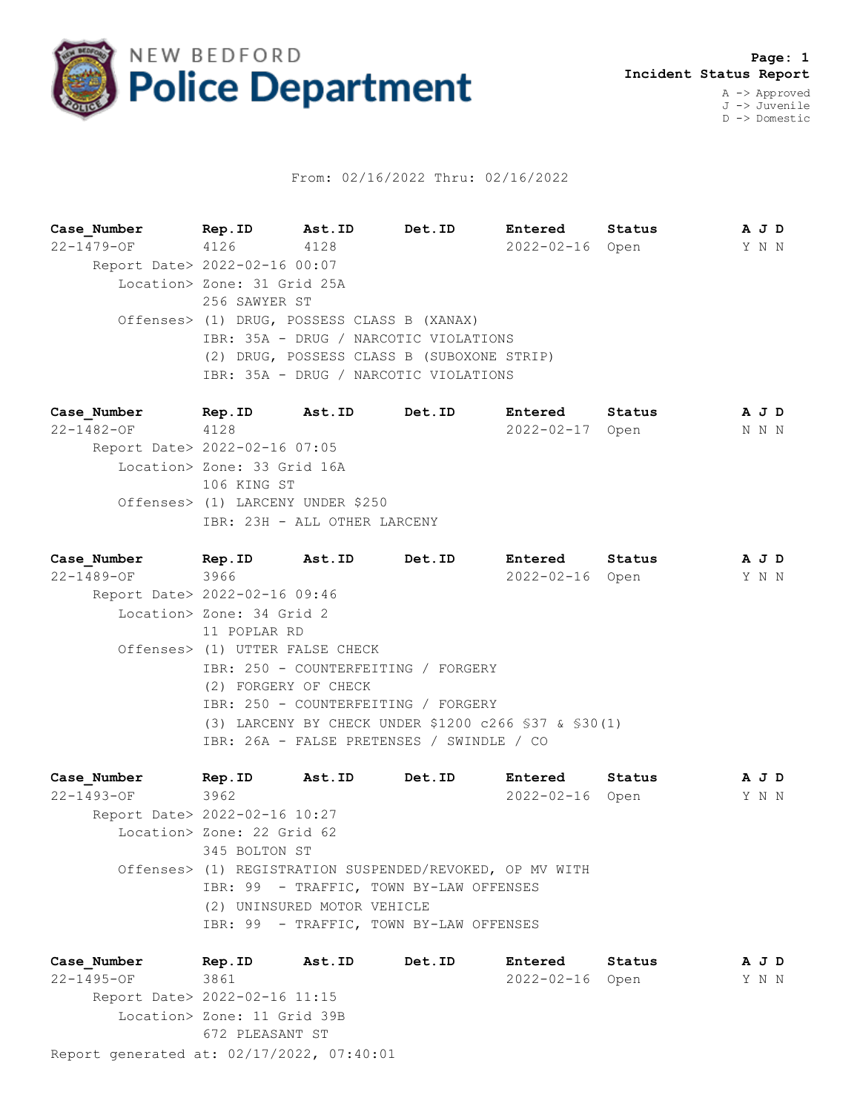

## From: 02/16/2022 Thru: 02/16/2022

**Case\_Number Rep.ID Ast.ID Det.ID Entered Status A J D** 22-1479-OF 4126 4128 2022-02-16 Open Y N N Report Date> 2022-02-16 00:07 Location> Zone: 31 Grid 25A 256 SAWYER ST Offenses> (1) DRUG, POSSESS CLASS B (XANAX) IBR: 35A - DRUG / NARCOTIC VIOLATIONS (2) DRUG, POSSESS CLASS B (SUBOXONE STRIP) IBR: 35A - DRUG / NARCOTIC VIOLATIONS

**Case\_Number Rep.ID Ast.ID Det.ID Entered Status A J D** 22-1482-OF 4128 2022-02-17 Open N N N Report Date> 2022-02-16 07:05 Location> Zone: 33 Grid 16A 106 KING ST Offenses> (1) LARCENY UNDER \$250 IBR: 23H - ALL OTHER LARCENY

**Case\_Number Rep.ID Ast.ID Det.ID Entered Status A J D** 22-1489-OF 3966 2022-02-16 Open Y N N Report Date> 2022-02-16 09:46 Location> Zone: 34 Grid 2 11 POPLAR RD Offenses> (1) UTTER FALSE CHECK IBR: 250 - COUNTERFEITING / FORGERY (2) FORGERY OF CHECK IBR: 250 - COUNTERFEITING / FORGERY (3) LARCENY BY CHECK UNDER \$1200 c266 §37 & §30(1) IBR: 26A - FALSE PRETENSES / SWINDLE / CO

**Case\_Number Rep.ID Ast.ID Det.ID Entered Status A J D** 22-1493-OF 3962 2022-02-16 Open Y N N Report Date> 2022-02-16 10:27 Location> Zone: 22 Grid 62 345 BOLTON ST Offenses> (1) REGISTRATION SUSPENDED/REVOKED, OP MV WITH IBR: 99 - TRAFFIC, TOWN BY-LAW OFFENSES (2) UNINSURED MOTOR VEHICLE IBR: 99 - TRAFFIC, TOWN BY-LAW OFFENSES

Report generated at: 02/17/2022, 07:40:01 **Case\_Number Rep.ID Ast.ID Det.ID Entered Status A J D** 22-1495-OF 3861 2022-02-16 Open Y N N Report Date> 2022-02-16 11:15 Location> Zone: 11 Grid 39B 672 PLEASANT ST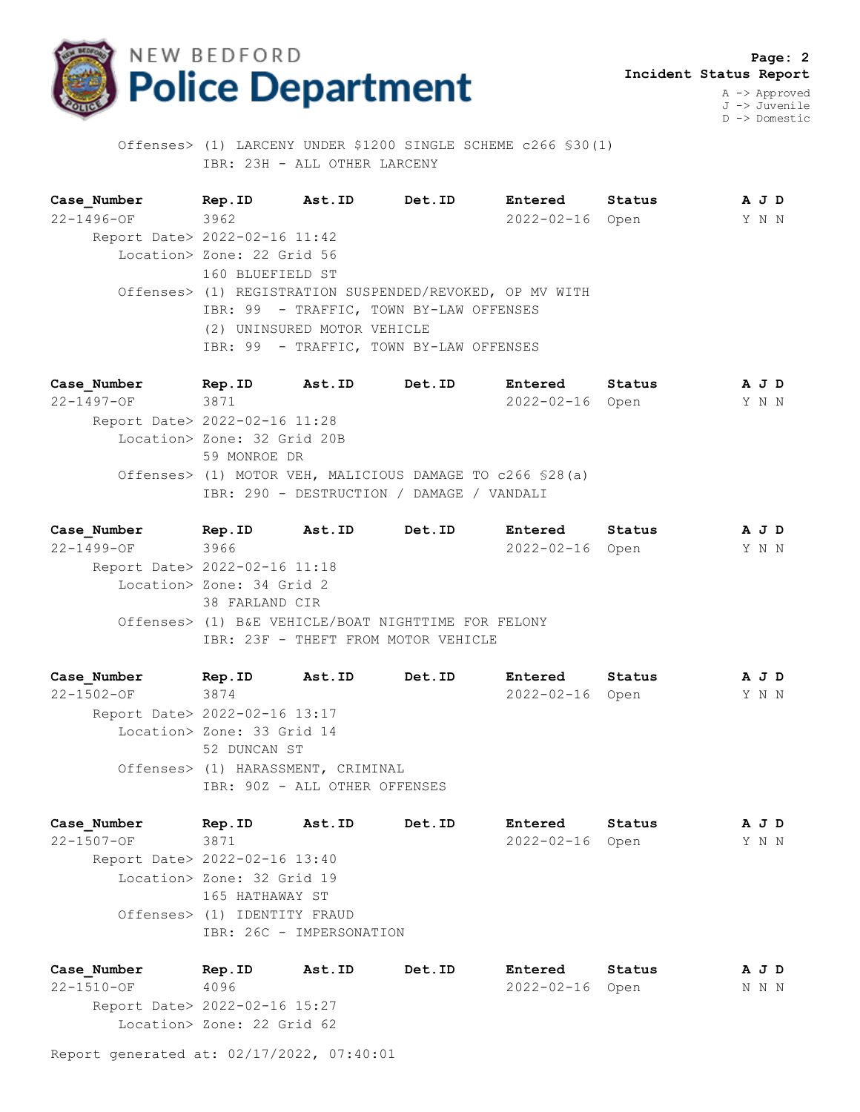

 **Page: 2 Incident Status Report** A -> Approved

J -> Juvenile D -> Domestic

 Offenses> (1) LARCENY UNDER \$1200 SINGLE SCHEME c266 §30(1) IBR: 23H - ALL OTHER LARCENY

**Case\_Number Rep.ID Ast.ID Det.ID Entered Status A J D** 22-1496-OF 3962 2022-02-16 Open Y N N Report Date> 2022-02-16 11:42 Location> Zone: 22 Grid 56 160 BLUEFIELD ST Offenses> (1) REGISTRATION SUSPENDED/REVOKED, OP MV WITH IBR: 99 - TRAFFIC, TOWN BY-LAW OFFENSES (2) UNINSURED MOTOR VEHICLE IBR: 99 - TRAFFIC, TOWN BY-LAW OFFENSES

**Case\_Number Rep.ID Ast.ID Det.ID Entered Status A J D** 22-1497-OF 3871 2022-02-16 Open Y N N Report Date> 2022-02-16 11:28 Location> Zone: 32 Grid 20B 59 MONROE DR Offenses> (1) MOTOR VEH, MALICIOUS DAMAGE TO c266 §28(a) IBR: 290 - DESTRUCTION / DAMAGE / VANDALI

**Case\_Number Rep.ID Ast.ID Det.ID Entered Status A J D** 22-1499-OF 3966 2022-02-16 Open Y N N Report Date> 2022-02-16 11:18 Location> Zone: 34 Grid 2 38 FARLAND CIR Offenses> (1) B&E VEHICLE/BOAT NIGHTTIME FOR FELONY IBR: 23F - THEFT FROM MOTOR VEHICLE

**Case\_Number Rep.ID Ast.ID Det.ID Entered Status A J D** 22-1502-OF 3874 2022-02-16 Open Y N N Report Date> 2022-02-16 13:17 Location> Zone: 33 Grid 14 52 DUNCAN ST Offenses> (1) HARASSMENT, CRIMINAL IBR: 90Z - ALL OTHER OFFENSES

**Case\_Number Rep.ID Ast.ID Det.ID Entered Status A J D** 22-1507-OF 3871 2022-02-16 Open Y N N Report Date> 2022-02-16 13:40 Location> Zone: 32 Grid 19 165 HATHAWAY ST Offenses> (1) IDENTITY FRAUD IBR: 26C - IMPERSONATION

**Case\_Number Rep.ID Ast.ID Det.ID Entered Status A J D** 22-1510-OF 4096 2022-02-16 Open N N N Report Date> 2022-02-16 15:27 Location> Zone: 22 Grid 62

Report generated at: 02/17/2022, 07:40:01